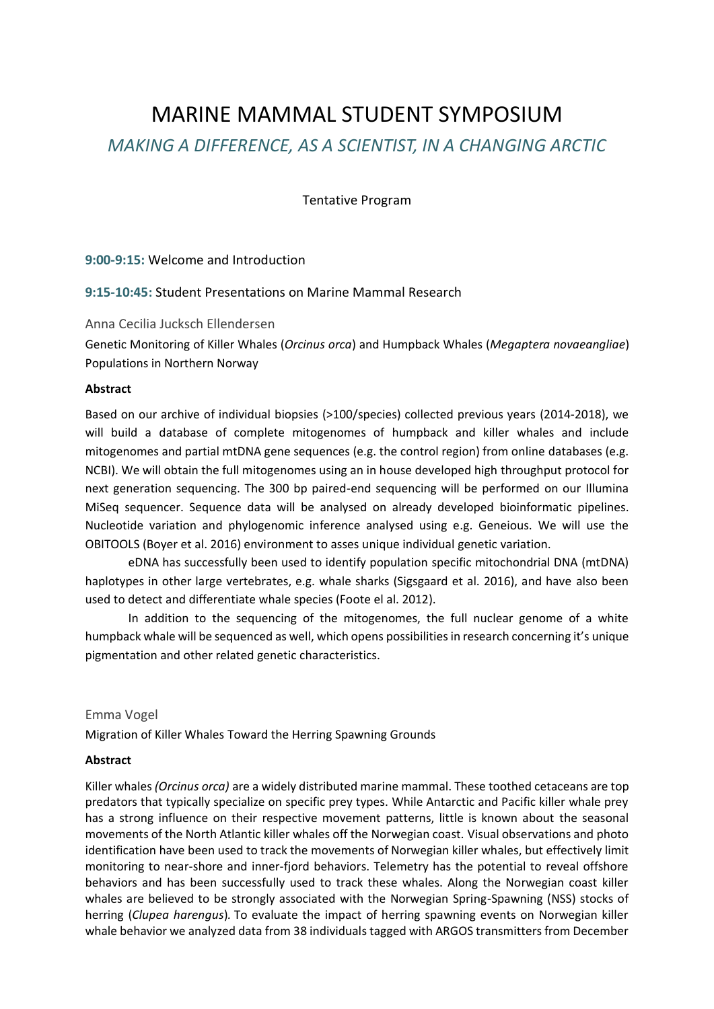# MARINE MAMMAL STUDENT SYMPOSIUM *MAKING A DIFFERENCE, AS A SCIENTIST, IN A CHANGING ARCTIC*

Tentative Program

# **9:00-9:15:** Welcome and Introduction

# **9:15-10:45:** Student Presentations on Marine Mammal Research

# Anna Cecilia Jucksch Ellendersen

Genetic Monitoring of Killer Whales (*Orcinus orca*) and Humpback Whales (*Megaptera novaeangliae*) Populations in Northern Norway

## **Abstract**

Based on our archive of individual biopsies (>100/species) collected previous years (2014-2018), we will build a database of complete mitogenomes of humpback and killer whales and include mitogenomes and partial mtDNA gene sequences (e.g. the control region) from online databases (e.g. NCBI). We will obtain the full mitogenomes using an in house developed high throughput protocol for next generation sequencing. The 300 bp paired-end sequencing will be performed on our Illumina MiSeq sequencer. Sequence data will be analysed on already developed bioinformatic pipelines. Nucleotide variation and phylogenomic inference analysed using e.g. Geneious. We will use the OBITOOLS (Boyer et al. 2016) environment to asses unique individual genetic variation.

eDNA has successfully been used to identify population specific mitochondrial DNA (mtDNA) haplotypes in other large vertebrates, e.g. whale sharks (Sigsgaard et al. 2016), and have also been used to detect and differentiate whale species (Foote el al. 2012).

In addition to the sequencing of the mitogenomes, the full nuclear genome of a white humpback whale will be sequenced as well, which opens possibilities in research concerning it's unique pigmentation and other related genetic characteristics.

## Emma Vogel

Migration of Killer Whales Toward the Herring Spawning Grounds

## **Abstract**

Killer whales *(Orcinus orca)* are a widely distributed marine mammal. These toothed cetaceans are top predators that typically specialize on specific prey types. While Antarctic and Pacific killer whale prey has a strong influence on their respective movement patterns, little is known about the seasonal movements of the North Atlantic killer whales off the Norwegian coast*.* Visual observations and photo identification have been used to track the movements of Norwegian killer whales, but effectively limit monitoring to near-shore and inner-fjord behaviors. Telemetry has the potential to reveal offshore behaviors and has been successfully used to track these whales. Along the Norwegian coast killer whales are believed to be strongly associated with the Norwegian Spring-Spawning (NSS) stocks of herring (*Clupea harengus*)*.* To evaluate the impact of herring spawning events on Norwegian killer whale behavior we analyzed data from 38 individuals tagged with ARGOS transmitters from December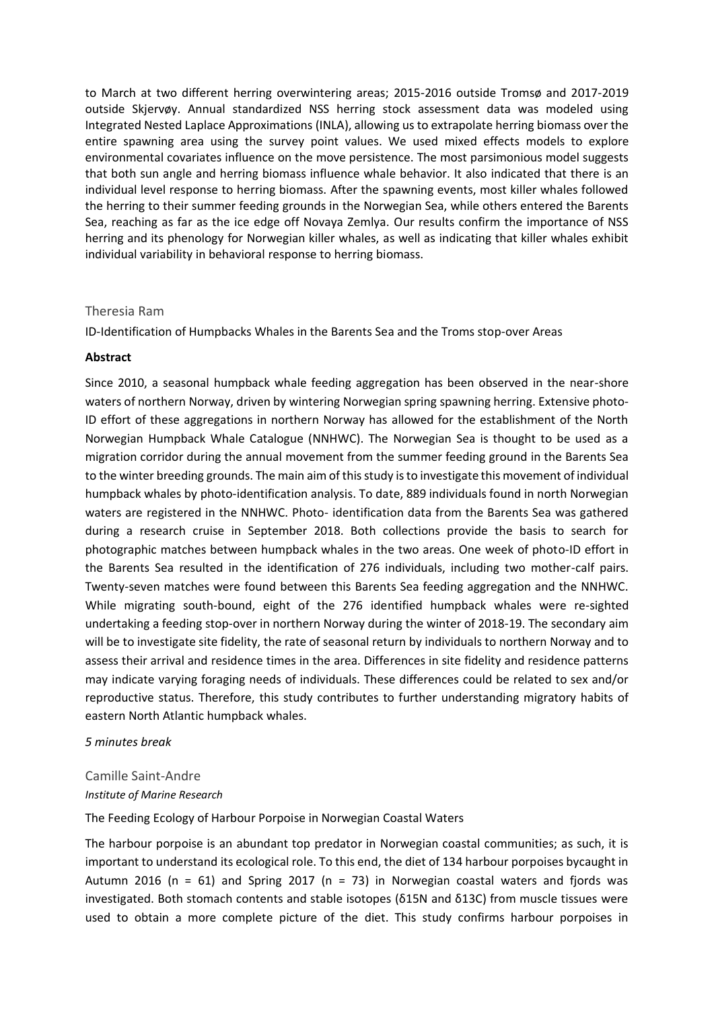to March at two different herring overwintering areas; 2015-2016 outside Tromsø and 2017-2019 outside Skjervøy. Annual standardized NSS herring stock assessment data was modeled using Integrated Nested Laplace Approximations (INLA), allowing us to extrapolate herring biomass over the entire spawning area using the survey point values. We used mixed effects models to explore environmental covariates influence on the move persistence. The most parsimonious model suggests that both sun angle and herring biomass influence whale behavior. It also indicated that there is an individual level response to herring biomass. After the spawning events, most killer whales followed the herring to their summer feeding grounds in the Norwegian Sea, while others entered the Barents Sea, reaching as far as the ice edge off Novaya Zemlya. Our results confirm the importance of NSS herring and its phenology for Norwegian killer whales, as well as indicating that killer whales exhibit individual variability in behavioral response to herring biomass.

## Theresia Ram

ID-Identification of Humpbacks Whales in the Barents Sea and the Troms stop-over Areas

#### **Abstract**

Since 2010, a seasonal humpback whale feeding aggregation has been observed in the near-shore waters of northern Norway, driven by wintering Norwegian spring spawning herring. Extensive photo-ID effort of these aggregations in northern Norway has allowed for the establishment of the North Norwegian Humpback Whale Catalogue (NNHWC). The Norwegian Sea is thought to be used as a migration corridor during the annual movement from the summer feeding ground in the Barents Sea to the winter breeding grounds. The main aim of this study is to investigate this movement of individual humpback whales by photo-identification analysis. To date, 889 individuals found in north Norwegian waters are registered in the NNHWC. Photo- identification data from the Barents Sea was gathered during a research cruise in September 2018. Both collections provide the basis to search for photographic matches between humpback whales in the two areas. One week of photo-ID effort in the Barents Sea resulted in the identification of 276 individuals, including two mother-calf pairs. Twenty-seven matches were found between this Barents Sea feeding aggregation and the NNHWC. While migrating south-bound, eight of the 276 identified humpback whales were re-sighted undertaking a feeding stop-over in northern Norway during the winter of 2018-19. The secondary aim will be to investigate site fidelity, the rate of seasonal return by individuals to northern Norway and to assess their arrival and residence times in the area. Differences in site fidelity and residence patterns may indicate varying foraging needs of individuals. These differences could be related to sex and/or reproductive status. Therefore, this study contributes to further understanding migratory habits of eastern North Atlantic humpback whales.

#### *5 minutes break*

# Camille Saint-Andre *Institute of Marine Research*

## The Feeding Ecology of Harbour Porpoise in Norwegian Coastal Waters

The harbour porpoise is an abundant top predator in Norwegian coastal communities; as such, it is important to understand its ecological role. To this end, the diet of 134 harbour porpoises bycaught in Autumn 2016 (n = 61) and Spring 2017 (n = 73) in Norwegian coastal waters and fjords was investigated. Both stomach contents and stable isotopes (δ15N and δ13C) from muscle tissues were used to obtain a more complete picture of the diet. This study confirms harbour porpoises in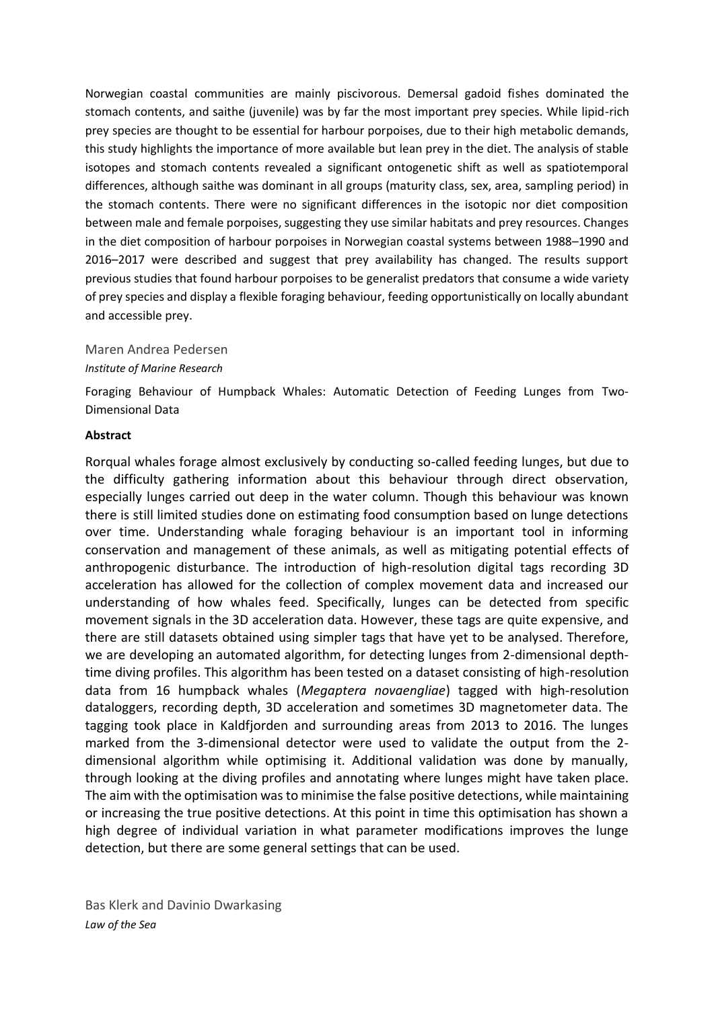Norwegian coastal communities are mainly piscivorous. Demersal gadoid fishes dominated the stomach contents, and saithe (juvenile) was by far the most important prey species. While lipid-rich prey species are thought to be essential for harbour porpoises, due to their high metabolic demands, this study highlights the importance of more available but lean prey in the diet. The analysis of stable isotopes and stomach contents revealed a significant ontogenetic shift as well as spatiotemporal differences, although saithe was dominant in all groups (maturity class, sex, area, sampling period) in the stomach contents. There were no significant differences in the isotopic nor diet composition between male and female porpoises, suggesting they use similar habitats and prey resources. Changes in the diet composition of harbour porpoises in Norwegian coastal systems between 1988–1990 and 2016–2017 were described and suggest that prey availability has changed. The results support previous studies that found harbour porpoises to be generalist predators that consume a wide variety of prey species and display a flexible foraging behaviour, feeding opportunistically on locally abundant and accessible prey.

## Maren Andrea Pedersen

#### *Institute of Marine Research*

Foraging Behaviour of Humpback Whales: Automatic Detection of Feeding Lunges from Two-Dimensional Data

#### **Abstract**

Rorqual whales forage almost exclusively by conducting so-called feeding lunges, but due to the difficulty gathering information about this behaviour through direct observation, especially lunges carried out deep in the water column. Though this behaviour was known there is still limited studies done on estimating food consumption based on lunge detections over time. Understanding whale foraging behaviour is an important tool in informing conservation and management of these animals, as well as mitigating potential effects of anthropogenic disturbance. The introduction of high-resolution digital tags recording 3D acceleration has allowed for the collection of complex movement data and increased our understanding of how whales feed. Specifically, lunges can be detected from specific movement signals in the 3D acceleration data. However, these tags are quite expensive, and there are still datasets obtained using simpler tags that have yet to be analysed. Therefore, we are developing an automated algorithm, for detecting lunges from 2-dimensional depthtime diving profiles. This algorithm has been tested on a dataset consisting of high-resolution data from 16 humpback whales (*Megaptera novaengliae*) tagged with high-resolution dataloggers, recording depth, 3D acceleration and sometimes 3D magnetometer data. The tagging took place in Kaldfjorden and surrounding areas from 2013 to 2016. The lunges marked from the 3-dimensional detector were used to validate the output from the 2 dimensional algorithm while optimising it. Additional validation was done by manually, through looking at the diving profiles and annotating where lunges might have taken place. The aim with the optimisation was to minimise the false positive detections, while maintaining or increasing the true positive detections. At this point in time this optimisation has shown a high degree of individual variation in what parameter modifications improves the lunge detection, but there are some general settings that can be used.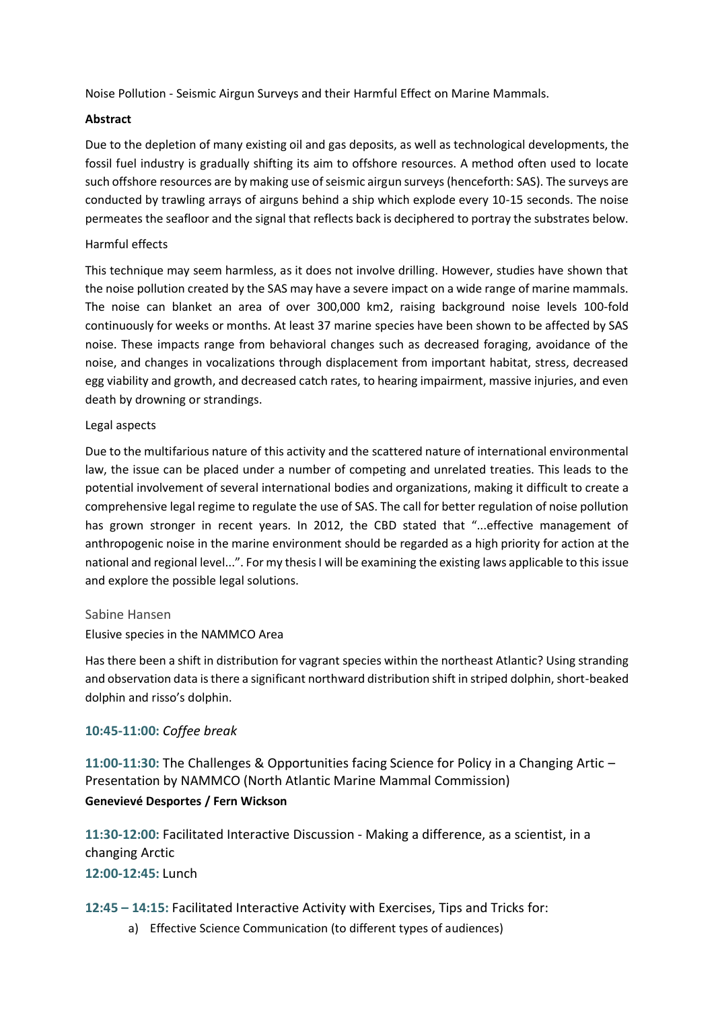Noise Pollution - Seismic Airgun Surveys and their Harmful Effect on Marine Mammals.

# **Abstract**

Due to the depletion of many existing oil and gas deposits, as well as technological developments, the fossil fuel industry is gradually shifting its aim to offshore resources. A method often used to locate such offshore resources are by making use of seismic airgun surveys (henceforth: SAS). The surveys are conducted by trawling arrays of airguns behind a ship which explode every 10-15 seconds. The noise permeates the seafloor and the signal that reflects back is deciphered to portray the substrates below.

# Harmful effects

This technique may seem harmless, as it does not involve drilling. However, studies have shown that the noise pollution created by the SAS may have a severe impact on a wide range of marine mammals. The noise can blanket an area of over 300,000 km2, raising background noise levels 100-fold continuously for weeks or months. At least 37 marine species have been shown to be affected by SAS noise. These impacts range from behavioral changes such as decreased foraging, avoidance of the noise, and changes in vocalizations through displacement from important habitat, stress, decreased egg viability and growth, and decreased catch rates, to hearing impairment, massive injuries, and even death by drowning or strandings.

# Legal aspects

Due to the multifarious nature of this activity and the scattered nature of international environmental law, the issue can be placed under a number of competing and unrelated treaties. This leads to the potential involvement of several international bodies and organizations, making it difficult to create a comprehensive legal regime to regulate the use of SAS. The call for better regulation of noise pollution has grown stronger in recent years. In 2012, the CBD stated that "...effective management of anthropogenic noise in the marine environment should be regarded as a high priority for action at the national and regional level...". For my thesis I will be examining the existing laws applicable to this issue and explore the possible legal solutions.

## Sabine Hansen

Elusive species in the NAMMCO Area

Has there been a shift in distribution for vagrant species within the northeast Atlantic? Using stranding and observation data is there a significant northward distribution shift in striped dolphin, short-beaked dolphin and risso's dolphin.

# **10:45-11:00:** *Coffee break*

**11:00-11:30:** The Challenges & Opportunities facing Science for Policy in a Changing Artic – Presentation by NAMMCO (North Atlantic Marine Mammal Commission) **Genevievé Desportes / Fern Wickson**

**11:30-12:00:** Facilitated Interactive Discussion - Making a difference, as a scientist, in a changing Arctic **12:00-12:45:** Lunch

# **12:45 – 14:15:** Facilitated Interactive Activity with Exercises, Tips and Tricks for:

a) Effective Science Communication (to different types of audiences)